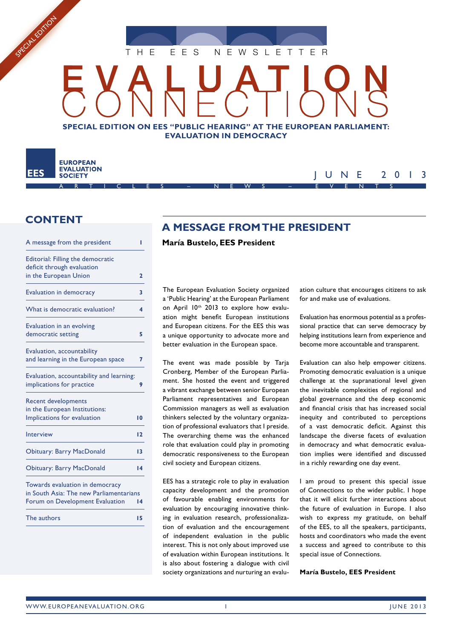

# **SPECIAL EDITION ON EES "PUBLIC HEARING" AT THE EUROPEAN PARLIAMENT: EVALUATION IN DEMOCRACY**

#### **EUROPEAN EVALUATION EES SOCIETY**

SPECIAL EDITOR

## JUNE 2013 ARTICLES – NEWS – EVENTS

# **CONTENT**

| A message from the president                                               |              |
|----------------------------------------------------------------------------|--------------|
| Editorial: Filling the democratic                                          |              |
| deficit through evaluation                                                 |              |
| in the European Union                                                      | $\mathbf{z}$ |
| <b>Evaluation in democracy</b>                                             | 3            |
| What is democratic evaluation?                                             | 4            |
| Evaluation in an evolving                                                  |              |
| democratic setting                                                         | 5            |
| Evaluation, accountability                                                 |              |
| and learning in the European space                                         | 7            |
| Evaluation, accountability and learning:                                   |              |
| implications for practice                                                  | 9            |
| <b>Recent developments</b>                                                 |              |
| in the European Institutions:                                              |              |
| Implications for evaluation                                                | 10           |
| Interview                                                                  | 12           |
| <b>Obituary: Barry MacDonald</b>                                           | 13           |
| <b>Obituary: Barry MacDonald</b>                                           | 14           |
| Towards evaluation in democracy<br>in South Asia: The new Parliamentarians | 14           |
| Forum on Development Evaluation                                            |              |

**A MESSAGE FROM THE PRESIDENT**

## **María Bustelo, EES President**

The European Evaluation Society organized a 'Public Hearing' at the European Parliament on April 10th 2013 to explore how evaluation might benefit European institutions and European citizens. For the EES this was a unique opportunity to advocate more and better evaluation in the European space.

The event was made possible by Taria Cronberg, Member of the European Parliament. She hosted the event and triggered a vibrant exchange between senior European Parliament representatives and European Commission managers as well as evaluation thinkers selected by the voluntary organization of professional evaluators that I preside. The overarching theme was the enhanced role that evaluation could play in promoting democratic responsiveness to the European civil society and European citizens.

EES has a strategic role to play in evaluation capacity development and the promotion of favourable enabling environments for evaluation by encouraging innovative thinking in evaluation research, professionalization of evaluation and the encouragement of independent evaluation in the public interest. This is not only about improved use of evaluation within European institutions. It is also about fostering a dialogue with civil society organizations and nurturing an evaluation culture that encourages citizens to ask for and make use of evaluations.

Evaluation has enormous potential as a professional practice that can serve democracy by helping institutions learn from experience and become more accountable and transparent.

Evaluation can also help empower citizens. Promoting democratic evaluation is a unique challenge at the supranational level given the inevitable complexities of regional and global governance and the deep economic and financial crisis that has increased social inequity and contributed to perceptions of a vast democratic deficit. Against this landscape the diverse facets of evaluation in democracy and what democratic evaluation implies were identified and discussed in a richly rewarding one day event.

I am proud to present this special issue of Connections to the wider public. I hope that it will elicit further interactions about the future of evaluation in Europe. I also wish to express my gratitude, on behalf of the EES, to all the speakers, participants, hosts and coordinators who made the event a success and agreed to contribute to this special issue of Connections.

**María Bustelo, EES President**

The authors **15**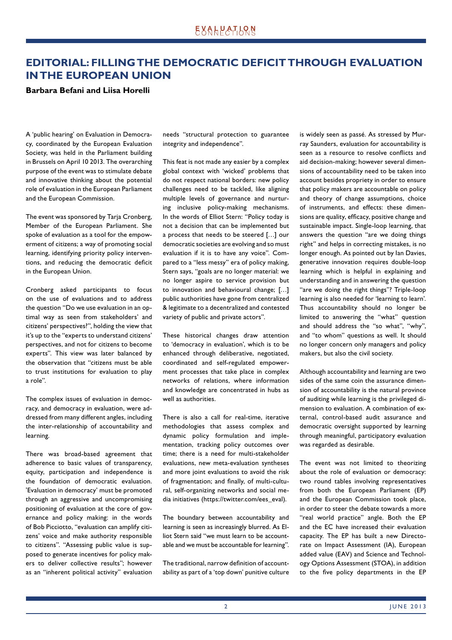# **EDITORIAL: FILLING THE DEMOCRATIC DEFICIT THROUGH EVALUATION IN THE EUROPEAN UNION**

## **Barbara Befani and Liisa Horelli**

A 'public hearing' on Evaluation in Democracy, coordinated by the European Evaluation Society, was held in the Parliament building in Brussels on April 10 2013. The overarching purpose of the event was to stimulate debate and innovative thinking about the potential role of evaluation in the European Parliament and the European Commission.

The event was sponsored by Tarja Cronberg, Member of the European Parliament. She spoke of evaluation as a tool for the empowerment of citizens; a way of promoting social learning, identifying priority policy interventions, and reducing the democratic deficit in the European Union.

Cronberg asked participants to focus on the use of evaluations and to address the question "Do we use evaluation in an optimal way as seen from stakeholders' and citizens' perspectives?", holding the view that it's up to the "experts to understand citizens' perspectives, and not for citizens to become experts". This view was later balanced by the observation that "citizens must be able to trust institutions for evaluation to play a role".

The complex issues of evaluation in democracy, and democracy in evaluation, were addressed from many different angles, including the inter-relationship of accountability and learning.

There was broad-based agreement that adherence to basic values of transparency, equity, participation and independence is the foundation of democratic evaluation. 'Evaluation in democracy' must be promoted through an aggressive and uncompromising positioning of evaluation at the core of governance and policy making: in the words of Bob Picciotto, "evaluation can amplify citizens' voice and make authority responsible to citizens". "Assessing public value is supposed to generate incentives for policy makers to deliver collective results"; however as an "inherent political activity" evaluation needs "structural protection to guarantee integrity and independence".

This feat is not made any easier by a complex global context with 'wicked' problems that do not respect national borders: new policy challenges need to be tackled, like aligning multiple levels of governance and nurturing inclusive policy-making mechanisms. In the words of Elliot Stern: "Policy today is not a decision that can be implemented but a process that needs to be steered […] our democratic societies are evolving and so must evaluation if it is to have any voice". Compared to a "less messy" era of policy making, Stern says, "goals are no longer material: we no longer aspire to service provision but to innovation and behavioural change; […] public authorities have gone from centralized & legitimate to a decentralized and contested variety of public and private actors".

These historical changes draw attention to 'democracy in evaluation', which is to be enhanced through deliberative, negotiated, coordinated and self-regulated empowerment processes that take place in complex networks of relations, where information and knowledge are concentrated in hubs as well as authorities.

There is also a call for real-time, iterative methodologies that assess complex and dynamic policy formulation and implementation, tracking policy outcomes over time; there is a need for multi-stakeholder evaluations, new meta-evaluation syntheses and more joint evaluations to avoid the risk of fragmentation; and finally, of multi-cultural, self-organizing networks and social media initiatives (https://twitter.com/ees\_eval).

The boundary between accountability and learning is seen as increasingly blurred. As Elliot Stern said "we must learn to be accountable and we must be accountable for learning".

The traditional, narrow definition of accountability as part of a 'top down' punitive culture is widely seen as passé. As stressed by Murray Saunders, evaluation for accountability is seen as a resource to resolve conflicts and aid decision-making; however several dimensions of accountability need to be taken into account besides propriety in order to ensure that policy makers are accountable on policy and theory of change assumptions, choice of instruments, and effects: these dimensions are quality, efficacy, positive change and sustainable impact. Single-loop learning, that answers the question "are we doing things right" and helps in correcting mistakes, is no longer enough. As pointed out by Ian Davies, generative innovation requires double-loop learning which is helpful in explaining and understanding and in answering the question "are we doing the right things"? Triple-loop learning is also needed for 'learning to learn'. Thus accountability should no longer be limited to answering the "what" question and should address the "so what", "why", and "to whom" questions as well. It should no longer concern only managers and policy makers, but also the civil society.

Although accountability and learning are two sides of the same coin the assurance dimension of accountability is the natural province of auditing while learning is the privileged dimension to evaluation. A combination of external, control-based audit assurance and democratic oversight supported by learning through meaningful, participatory evaluation was regarded as desirable.

The event was not limited to theorizing about the role of evaluation or democracy: two round tables involving representatives from both the European Parliament (EP) and the European Commission took place, in order to steer the debate towards a more "real world practice" angle. Both the EP and the EC have increased their evaluation capacity. The EP has built a new Directorate on Impact Assessment (IA), European added value (EAV) and Science and Technology Options Assessment (STOA), in addition to the five policy departments in the EP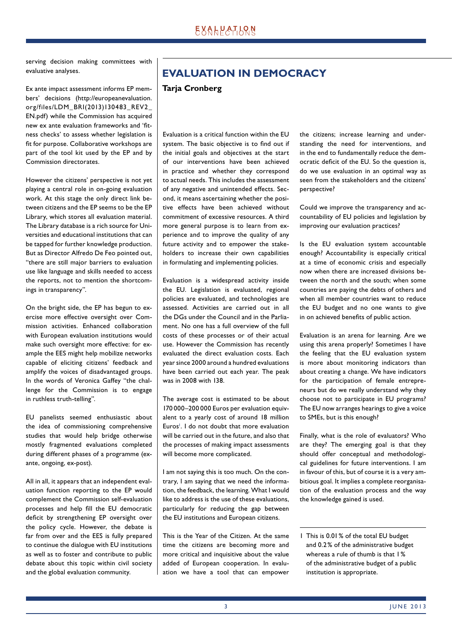serving decision making committees with evaluative analyses.

Ex ante impact assessment informs EP members' decisions (http://europeanevaluation. org/files/LDM\_BRI(2013)130483\_REV2\_ EN.pdf) while the Commission has acquired new ex ante evaluation frameworks and 'fitness checks' to assess whether legislation is fit for purpose. Collaborative workshops are part of the tool kit used by the EP and by Commission directorates.

However the citizens' perspective is not yet playing a central role in on-going evaluation work. At this stage the only direct link between citizens and the EP seems to be the EP Library, which stores all evaluation material. The Library database is a rich source for Universities and educational institutions that can be tapped for further knowledge production. But as Director Alfredo De Feo pointed out, "there are still major barriers to evaluation use like language and skills needed to access the reports, not to mention the shortcomings in transparency".

On the bright side, the EP has begun to exercise more effective oversight over Commission activities. Enhanced collaboration with European evaluation institutions would make such oversight more effective: for example the EES might help mobilize networks capable of eliciting citizens' feedback and amplify the voices of disadvantaged groups. In the words of Veronica Gaffey "the challenge for the Commission is to engage in ruthless truth-telling".

EU panelists seemed enthusiastic about the idea of commissioning comprehensive studies that would help bridge otherwise mostly fragmented evaluations completed during different phases of a programme (exante, ongoing, ex-post).

All in all, it appears that an independent evaluation function reporting to the EP would complement the Commission self-evaluation processes and help fill the EU democratic deficit by strengthening EP oversight over the policy cycle. However, the debate is far from over and the EES is fully prepared to continue the dialogue with EU institutions as well as to foster and contribute to public debate about this topic within civil society and the global evaluation community.

# **EVALUATION IN DEMOCRACY**

## **Tarja Cronberg**

Evaluation is a critical function within the EU system. The basic objective is to find out if the initial goals and objectives at the start of our interventions have been achieved in practice and whether they correspond to actual needs. This includes the assessment of any negative and unintended effects. Second, it means ascertaining whether the positive effects have been achieved without commitment of excessive resources. A third more general purpose is to learn from experience and to improve the quality of any future activity and to empower the stakeholders to increase their own capabilities in formulating and implementing policies.

Evaluation is a widespread activity inside the EU. Legislation is evaluated, regional policies are evaluated, and technologies are assessed. Activities are carried out in all the DGs under the Council and in the Parliament. No one has a full overview of the full costs of these processes or of their actual use. However the Commission has recently evaluated the direct evaluation costs. Each year since 2000 around a hundred evaluations have been carried out each year. The peak was in 2008 with 138.

The average cost is estimated to be about 170 000–200 000 Euros per evaluation equivalent to a yearly cost of around 18 million Euros<sup>1</sup>. I do not doubt that more evaluation will be carried out in the future, and also that the processes of making impact assessments will become more complicated.

I am not saying this is too much. On the contrary, I am saying that we need the information, the feedback, the learning. What I would like to address is the use of these evaluations, particularly for reducing the gap between the EU institutions and European citizens.

This is the Year of the Citizen. At the same time the citizens are becoming more and more critical and inquisitive about the value added of European cooperation. In evaluation we have a tool that can empower the citizens; increase learning and understanding the need for interventions, and in the end to fundamentally reduce the democratic deficit of the EU. So the question is, do we use evaluation in an optimal way as seen from the stakeholders and the citizens' perspective?

Could we improve the transparency and accountability of EU policies and legislation by improving our evaluation practices?

Is the EU evaluation system accountable enough? Accountability is especially critical at a time of economic crisis and especially now when there are increased divisions between the north and the south; when some countries are paying the debts of others and when all member countries want to reduce the EU budget and no one wants to give in on achieved benefits of public action.

Evaluation is an arena for learning. Are we using this arena properly? Sometimes I have the feeling that the EU evaluation system is more about monitoring indicators than about creating a change. We have indicators for the participation of female entrepreneurs but do we really understand why they choose not to participate in EU programs? The EU now arranges hearings to give a voice to SMEs, but is this enough?

Finally, what is the role of evaluators? Who are they? The emerging goal is that they should offer conceptual and methodological guidelines for future interventions. I am in favour of this, but of course it is a very ambitious goal. It implies a complete reorganisation of the evaluation process and the way the knowledge gained is used.

1 This is 0.01 % of the total EU budget and 0.2 % of the administrative budget whereas a rule of thumb is that 1% of the administrative budget of a public institution is appropriate.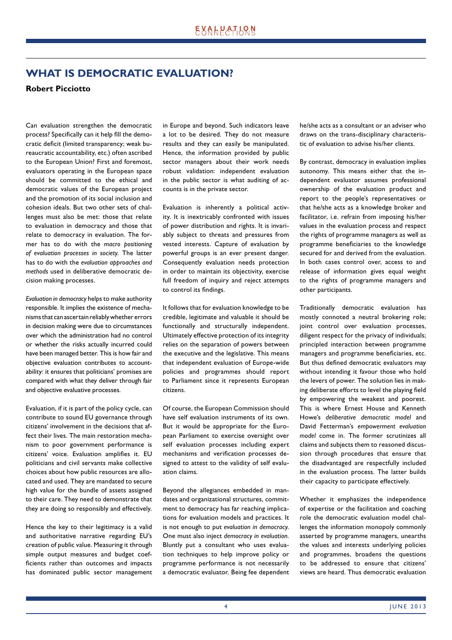# **WHAT IS DEMOCRATIC EVALUATION?**

## **Robert Picciotto**

Can evaluation strengthen the democratic process? Specifically can it help fill the democratic deficit (limited transparency; weak bureaucratic accountability, etc.) often ascribed to the European Union? First and foremost, evaluators operating in the European space should be committed to the ethical and democratic values of the European project and the promotion of its social inclusion and cohesion ideals. But two other sets of challenges must also be met: those that relate to evaluation in democracy and those that relate to democracy in evaluation. The former has to do with the *macro positioning of evaluation processes in society*. The latter has to do with the *evaluation approaches and methods* used in deliberative democratic decision making processes.

*Evaluation in democracy* helps to make authority responsible. It implies the existence of mechanisms that can ascertain reliably whether errors in decision making were due to circumstances over which the administration had no control or whether the risks actually incurred could have been managed better. This is how fair and objective evaluation contributes to accountability: it ensures that politicians' promises are compared with what they deliver through fair and objective evaluative processes.

Evaluation, if it is part of the policy cycle, can contribute to sound EU governance through citizens' involvement in the decisions that affect their lives. The main restoration mechanism to poor government performance is citizens' voice. Evaluation amplifies it. EU politicians and civil servants make collective choices about how public resources are allocated and used. They are mandated to secure high value for the bundle of assets assigned to their care. They need to demonstrate that they are doing so responsibly and effectively.

Hence the key to their legitimacy is a valid and authoritative narrative regarding EU's creation of public value. Measuring it through simple output measures and budget coefficients rather than outcomes and impacts has dominated public sector management in Europe and beyond. Such indicators leave a lot to be desired. They do not measure results and they can easily be manipulated. Hence, the information provided by public sector managers about their work needs robust validation: independent evaluation in the public sector is what auditing of accounts is in the private sector.

Evaluation is inherently a political activity. It is inextricably confronted with issues of power distribution and rights. It is invariably subject to threats and pressures from vested interests. Capture of evaluation by powerful groups is an ever present danger. Consequently evaluation needs protection in order to maintain its objectivity, exercise full freedom of inquiry and reject attempts to control its findings.

It follows that for evaluation knowledge to be credible, legitimate and valuable it should be functionally and structurally independent. Ultimately effective protection of its integrity relies on the separation of powers between the executive and the legislative. This means that independent evaluation of Europe-wide policies and programmes should report to Parliament since it represents European citizens.

Of course, the European Commission should have self evaluation instruments of its own. But it would be appropriate for the European Parliament to exercise oversight over self evaluation processes including expert mechanisms and verification processes designed to attest to the validity of self evaluation claims.

Beyond the allegiances embedded in mandates and organizational structures, commitment to democracy has far reaching implications for evaluation models and practices. It is not enough to put *evaluation in democracy*. One must also inject *democracy in evaluation*. Bluntly put a consultant who uses evaluation techniques to help improve policy or programme performance is not necessarily a democratic evaluator. Being fee dependent he/she acts as a consultant or an adviser who draws on the trans-disciplinary characteristic of evaluation to advise his/her clients.

By contrast, democracy in evaluation implies autonomy. This means either that the independent evaluator assumes professional ownership of the evaluation product and report to the people's representatives or that he/she acts as a knowledge broker and facilitator, i.e. refrain from imposing his/her values in the evaluation process and respect the rights of programme managers as well as programme beneficiaries to the knowledge secured for and derived from the evaluation. In both cases control over, access to and release of information gives equal weight to the rights of programme managers and other participants.

Traditionally democratic evaluation has mostly connoted a neutral brokering role; joint control over evaluation processes, diligent respect for the privacy of individuals; principled interaction between programme managers and programme beneficiaries, etc. But thus defined democratic evaluators may without intending it favour those who hold the levers of power. The solution lies in making deliberate efforts to level the playing field by empowering the weakest and poorest. This is where Ernest House and Kenneth Howe's *deliberative democratic model* and David Fetterman's *empowerment evaluation model* come in. The former scrutinizes all claims and subjects them to reasoned discussion through procedures that ensure that the disadvantaged are respectfully included in the evaluation process. The latter builds their capacity to participate effectively.

Whether it emphasizes the independence of expertise or the facilitation and coaching role the democratic evaluation model challenges the information monopoly commonly asserted by programme managers, unearths the values and interests underlying policies and programmes, broadens the questions to be addressed to ensure that citizens' views are heard. Thus democratic evaluation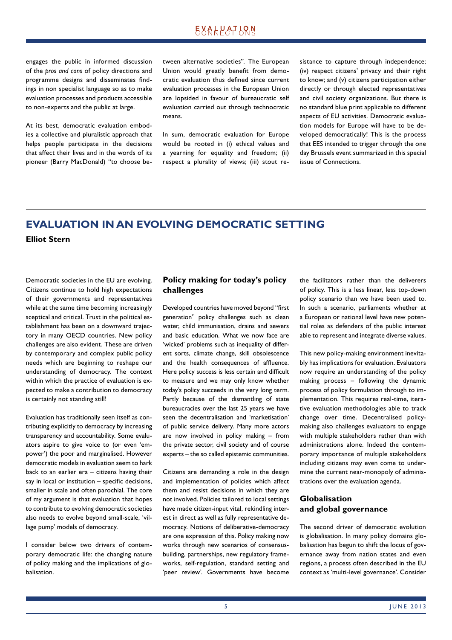# **EXALPATLQN**

engages the public in informed discussion of the *pros and cons* of policy directions and programme designs and disseminates findings in non specialist language so as to make evaluation processes and products accessible to non-experts and the public at large.

At its best, democratic evaluation embodies a collective and pluralistic approach that helps people participate in the decisions that affect their lives and in the words of its pioneer (Barry MacDonald) "to choose between alternative societies". The European Union would greatly benefit from democratic evaluation thus defined since current evaluation processes in the European Union are lopsided in favour of bureaucratic self evaluation carried out through technocratic means.

In sum, democratic evaluation for Europe would be rooted in (i) ethical values and a yearning for equality and freedom; (ii) respect a plurality of views; (iii) stout resistance to capture through independence; (iv) respect citizens' privacy and their right to know; and (v) citizens participation either directly or through elected representatives and civil society organizations. But there is no standard blue print applicable to different aspects of EU activities. Democratic evaluation models for Europe will have to be developed democratically! This is the process that EES intended to trigger through the one day Brussels event summarized in this special issue of Connections.

# **EVALUATION IN AN EVOLVING DEMOCRATIC SETTING Elliot Stern**

Democratic societies in the EU are evolving. Citizens continue to hold high expectations of their governments and representatives while at the same time becoming increasingly sceptical and critical. Trust in the political establishment has been on a downward trajectory in many OECD countries. New policy challenges are also evident. These are driven by contemporary and complex public policy needs which are beginning to reshape our understanding of democracy. The context within which the practice of evaluation is expected to make a contribution to democracy is certainly not standing still!

Evaluation has traditionally seen itself as contributing explicitly to democracy by increasing transparency and accountability. Some evaluators aspire to give voice to (or even 'empower') the poor and marginalised. However democratic models in evaluation seem to hark back to an earlier era – citizens having their say in local or institution  $-$  specific decisions, smaller in scale and often parochial. The core of my argument is that evaluation that hopes to contribute to evolving democratic societies also needs to evolve beyond small-scale, 'village pump' models of democracy.

I consider below two drivers of contemporary democratic life: the changing nature of policy making and the implications of globalisation.

## **Policy making for today's policy challenges**

Developed countries have moved beyond "first generation" policy challenges such as clean water, child immunisation, drains and sewers and basic education. What we now face are 'wicked' problems such as inequality of different sorts, climate change, skill obsolescence and the health consequences of affluence. Here policy success is less certain and difficult to measure and we may only know whether today's policy succeeds in the very long term. Partly because of the dismantling of state bureaucracies over the last 25 years we have seen the decentralisation and 'marketisation' of public service delivery. Many more actors are now involved in policy making – from the private sector, civil society and of course experts – the so called epistemic communities.

Citizens are demanding a role in the design and implementation of policies which affect them and resist decisions in which they are not involved. Policies tailored to local settings have made citizen-input vital, rekindling interest in direct as well as fully representative democracy. Notions of deliberative-democracy are one expression of this. Policy making now works through new scenarios of consensusbuilding, partnerships, new regulatory frameworks, self-regulation, standard setting and 'peer review'. Governments have become the facilitators rather than the deliverers of policy. This is a less linear, less top-down policy scenario than we have been used to. In such a scenario, parliaments whether at a European or national level have new potential roles as defenders of the public interest able to represent and integrate diverse values.

This new policy-making environment inevitably has implications for evaluation. Evaluators now require an understanding of the policy making process – following the dynamic process of policy formulation through to implementation. This requires real-time, iterative evaluation methodologies able to track change over time. Decentralised policymaking also challenges evaluators to engage with multiple stakeholders rather than with administrations alone. Indeed the contemporary importance of multiple stakeholders including citizens may even come to undermine the current near-monopoly of administrations over the evaluation agenda.

## **Globalisation and global governance**

The second driver of democratic evolution is globalisation. In many policy domains globalisation has begun to shift the locus of governance away from nation states and even regions, a process often described in the EU context as 'multi-level governance'. Consider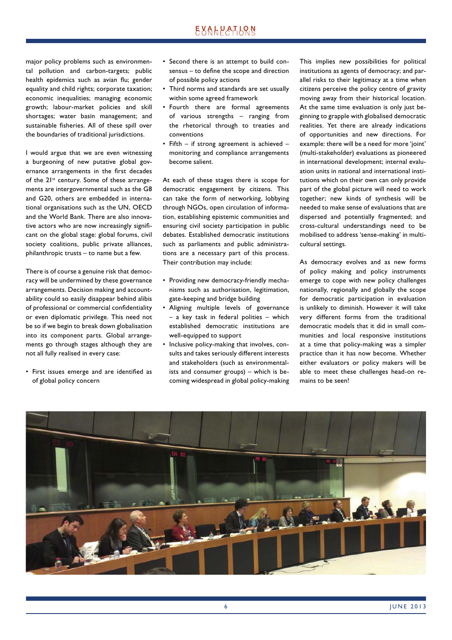major policy problems such as environmental pollution and carbon-targets; public health epidemics such as avian flu; gender equality and child rights; corporate taxation; economic inequalities; managing economic growth; labour-market policies and skill shortages; water basin management; and sustainable fisheries. All of these spill over the boundaries of traditional jurisdictions.

I would argue that we are even witnessing a burgeoning of new putative global governance arrangements in the first decades of the 21<sup>st</sup> century. Some of these arrangements are intergovernmental such as the G8 and G20, others are embedded in international organisations such as the UN, OECD and the World Bank. There are also innovative actors who are now increasingly significant on the global stage: global forums, civil society coalitions, public private alliances, philanthropic trusts – to name but a few.

There is of course a genuine risk that democracy will be undermined by these governance arrangements. Decision making and accountability could so easily disappear behind alibis of professional or commercial confidentiality or even diplomatic privilege. This need not be so if we begin to break down globalisation into its component parts. Global arrangements go through stages although they are not all fully realised in every case:

• First issues emerge and are identified as of global policy concern

- Second there is an attempt to build consensus – to define the scope and direction of possible policy actions
- Third norms and standards are set usually within some agreed framework
- Fourth there are formal agreements of various strengths – ranging from the rhetorical through to treaties and conventions
- Fifth if strong agreement is achieved monitoring and compliance arrangements become salient.

At each of these stages there is scope for democratic engagement by citizens. This can take the form of networking, lobbying through NGOs, open circulation of information, establishing epistemic communities and ensuring civil society participation in public debates. Established democratic institutions such as parliaments and public administrations are a necessary part of this process. Their contribution may include:

- Providing new democracy-friendly mechanisms such as authorisation, legitimation, gate-keeping and bridge building
- Aligning multiple levels of governance – a key task in federal polities – which established democratic institutions are well-equipped to support
- Inclusive policy-making that involves, consults and takes seriously different interests and stakeholders (such as environmentalists and consumer groups) – which is becoming widespread in global policy-making

This implies new possibilities for political institutions as agents of democracy; and parallel risks to their legitimacy at a time when citizens perceive the policy centre of gravity moving away from their historical location. At the same time evaluation is only just beginning to grapple with globalised democratic realities. Yet there are already indications of opportunities and new directions. For example: there will be a need for more 'joint' (multi-stakeholder) evaluations as pioneered in international development; internal evaluation units in national and international institutions which on their own can only provide part of the global picture will need to work together; new kinds of synthesis will be needed to make sense of evaluations that are dispersed and potentially fragmented; and cross-cultural understandings need to be mobilised to address 'sense-making' in multicultural settings.

As democracy evolves and as new forms of policy making and policy instruments emerge to cope with new policy challenges nationally, regionally and globally the scope for democratic participation in evaluation is unlikely to diminish. However it will take very different forms from the traditional democratic models that it did in small communities and local responsive institutions at a time that policy-making was a simpler practice than it has now become. Whether either evaluators or policy makers will be able to meet these challenges head-on remains to be seen!

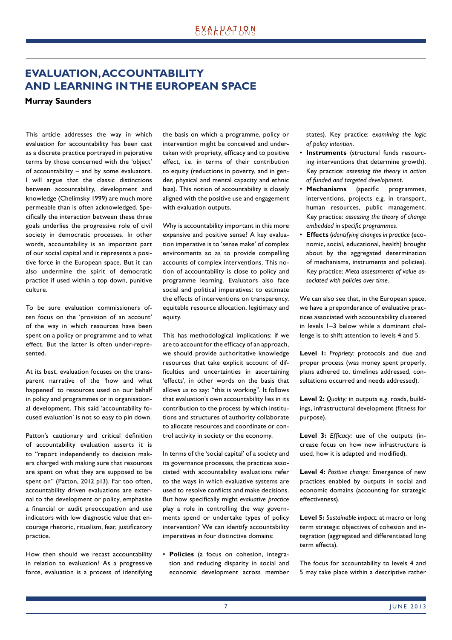# **EVALUATION, ACCOUNTABILITY AND LEARNING IN THE EUROPEAN SPACE**

**Murray Saunders**

This article addresses the way in which evaluation for accountability has been cast as a discrete practice portrayed in pejorative terms by those concerned with the 'object' of accountability – and by some evaluators. I will argue that the classic distinctions between accountability, development and knowledge (Chelimsky 1999) are much more permeable than is often acknowledged. Specifically the interaction between these three goals underlies the progressive role of civil society in democratic processes. In other words, accountability is an important part of our social capital and it represents a positive force in the European space. But it can also undermine the spirit of democratic practice if used within a top down, punitive culture.

To be sure evaluation commissioners often focus on the 'provision of an account' of the way in which resources have been spent on a policy or programme and to what effect. But the latter is often under-represented.

At its best, evaluation focuses on the transparent narrative of the 'how and what happened' to resources used on our behalf in policy and programmes or in organisational development. This said 'accountability focused evaluation' is not so easy to pin down.

Patton's cautionary and critical definition of accountability evaluation asserts it is to "report independently to decision makers charged with making sure that resources are spent on what they are supposed to be spent on" (Patton, 2012 p13). Far too often, accountability driven evaluations are external to the development or policy, emphasise a financial or audit preoccupation and use indicators with low diagnostic value that encourage rhetoric, ritualism, fear, justificatory practice.

How then should we recast accountability in relation to evaluation? As a progressive force, evaluation is a process of identifying the basis on which a programme, policy or intervention might be conceived and undertaken with propriety, efficacy and to positive effect, i.e. in terms of their contribution to equity (reductions in poverty, and in gender, physical and mental capacity and ethnic bias). This notion of accountability is closely aligned with the positive use and engagement with evaluation outputs.

Why is accountability important in this more expansive and positive sense? A key evaluation imperative is to 'sense make' of complex environments so as to provide compelling accounts of complex interventions. This notion of accountability is close to policy and programme learning. Evaluators also face social and political imperatives: to estimate the effects of interventions on transparency, equitable resource allocation, legitimacy and equity.

This has methodological implications: if we are to account for the efficacy of an approach, we should provide authoritative knowledge resources that take explicit account of difficulties and uncertainties in ascertaining 'effects', in other words on the basis that allows us to say: "this is working". It follows that evaluation's own accountability lies in its contribution to the process by which institutions and structures of authority collaborate to allocate resources and coordinate or control activity in society or the economy.

In terms of the 'social capital' of a society and its governance processes, the practices associated with accountability evaluations refer to the ways in which evaluative systems are used to resolve conflicts and make decisions. But how specifically might *evaluative bractice* play a role in controlling the way governments spend or undertake types of policy intervention? We can identify accountability imperatives in four distinctive domains:

• **Policies** (a focus on cohesion, integration and reducing disparity in social and economic development across member states). Key practice: *examining the logic of policy intention*.

- **Instruments** (structural funds resourcing interventions that determine growth). Key practice: *assessing the theory in action of funded and targeted development*.
- **Mechanisms** (specific programmes, interventions, projects e.g. in transport, human resources, public management. Key practice: *assessing the theory of change embedded in specific programmes.*
- **Effects** (*identifying changes in practice* (economic, social, educational, health) brought about by the aggregated determination of mechanisms, instruments and policies). Key practice: *Meta assessments of value associated with policies over time*.

We can also see that, in the European space, we have a preponderance of evaluative practices associated with accountability clustered in levels 1–3 below while a dominant challenge is to shift attention to levels 4 and 5.

**Level 1:** *Propriety:* protocols and due and proper process (was money spent properly, plans adhered to, timelines addressed, consultations occurred and needs addressed).

**Level 2:** *Quality:* in outputs e.g. roads, buildings, infrastructural development (fitness for purpose).

Level 3: *Efficacy:* use of the outputs (increase focus on how new infrastructure is used, how it is adapted and modified).

**Level 4:** *Positive change:* Emergence of new practices enabled by outputs in social and economic domains (accounting for strategic effectiveness).

**Level 5:** *Sustainable impact:* at macro or long term strategic objectives of cohesion and integration (aggregated and differentiated long term effects).

The focus for accountability to levels 4 and 5 may take place within a descriptive rather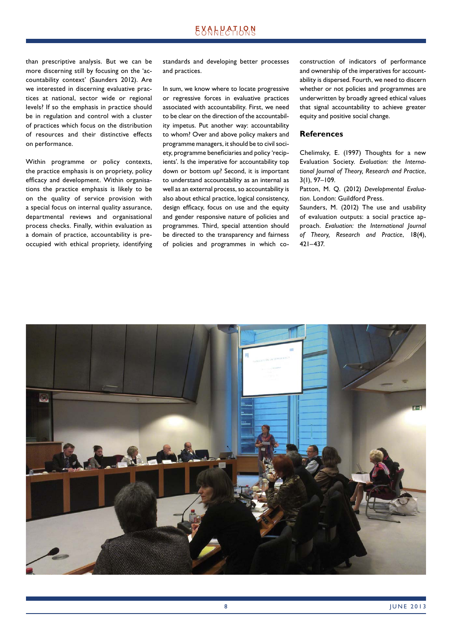# **EXALPATLQN**

than prescriptive analysis. But we can be more discerning still by focusing on the 'accountability context' (Saunders 2012). Are we interested in discerning evaluative practices at national, sector wide or regional levels? If so the emphasis in practice should be in regulation and control with a cluster of practices which focus on the distribution of resources and their distinctive effects on performance.

Within programme or policy contexts, the practice emphasis is on propriety, policy efficacy and development. Within organisations the practice emphasis is likely to be on the quality of service provision with a special focus on internal quality assurance, departmental reviews and organisational process checks. Finally, within evaluation as a domain of practice, accountability is preoccupied with ethical propriety, identifying standards and developing better processes and practices.

In sum, we know where to locate progressive or regressive forces in evaluative practices associated with accountability. First, we need to be clear on the direction of the accountability impetus. Put another way: accountability to whom? Over and above policy makers and programme managers, it should be to civil society, programme beneficiaries and policy 'recipients'. Is the imperative for accountability top down or bottom up? Second, it is important to understand accountability as an internal as well as an external process, so accountability is also about ethical practice, logical consistency, design efficacy, focus on use and the equity and gender responsive nature of policies and programmes. Third, special attention should be directed to the transparency and fairness of policies and programmes in which coconstruction of indicators of performance and ownership of the imperatives for accountability is dispersed. Fourth, we need to discern whether or not policies and programmes are underwritten by broadly agreed ethical values that signal accountability to achieve greater equity and positive social change.

#### **References**

Chelimsky, E. (1997) Thoughts for a new Evaluation Society. *Evaluation: the International Journal of Theory, Research and Practice*, 3(1), 97–109.

Patton, M. Q. (2012) *Developmental Evaluation*. London: Guildford Press.

Saunders, M. (2012) The use and usability of evaluation outputs: a social practice approach. *Evaluation: the International Journal of Theory, Research and Practice*, 18(4), 421–437.

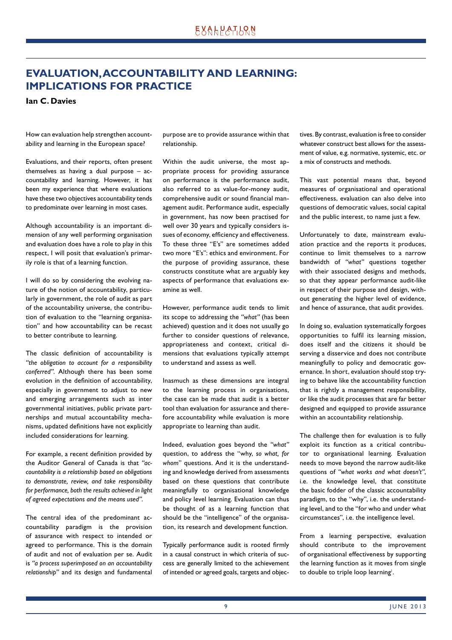# **EVALUATION, ACCOUNTABILITY AND LEARNING: IMPLICATIONS FOR PRACTICE**

**Ian C. Davies** 

How can evaluation help strengthen accountability and learning in the European space?

Evaluations, and their reports, often present themselves as having a dual purpose – accountability and learning. However, it has been my experience that where evaluations have these two objectives accountability tends to predominate over learning in most cases.

Although accountability is an important dimension of any well performing organisation and evaluation does have a role to play in this respect, I will posit that evaluation's primarily role is that of a learning function.

I will do so by considering the evolving nature of the notion of accountability, particularly in government, the role of audit as part of the accountability universe, the contribution of evaluation to the "learning organisation" and how accountability can be recast to better contribute to learning.

The classic definition of accountability is *"the obligation to account for a responsibility conferred"*. Although there has been some evolution in the definition of accountability, especially in government to adjust to new and emerging arrangements such as inter governmental initiatives, public private partnerships and mutual accountability mechanisms, updated definitions have not explicitly included considerations for learning.

For example, a recent definition provided by the Auditor General of Canada is that *"accountability is a relationship based on obligations to demonstrate, review, and take responsibility for performance, both the results achieved in light of agreed expectations and the means used"*.

The central idea of the predominant accountability paradigm is the provision of assurance with respect to intended or agreed to performance. This is the domain of audit and not of evaluation per se. Audit is *"a process superimposed on an accountability relationship"* and its design and fundamental

purpose are to provide assurance within that relationship.

Within the audit universe, the most appropriate process for providing assurance on performance is the performance audit, also referred to as value-for-money audit, comprehensive audit or sound financial management audit. Performance audit, especially in government, has now been practised for well over 30 years and typically considers issues of economy, efficiency and effectiveness. To these three "E's" are sometimes added two more "E's": ethics and environment. For the purpose of providing assurance, these constructs constitute what are arguably key aspects of performance that evaluations examine as well.

However, performance audit tends to limit its scope to addressing the *"what"* (has been achieved) question and it does not usually go further to consider questions of relevance, appropriateness and context, critical dimensions that evaluations typically attempt to understand and assess as well.

Inasmuch as these dimensions are integral to the learning process in organisations, the case can be made that audit is a better tool than evaluation for assurance and therefore accountability while evaluation is more appropriate to learning than audit.

Indeed, evaluation goes beyond the *"what"* question, to address the "why, *so what, for whom*" questions. And it is the understanding and knowledge derived from assessments based on these questions that contribute meaningfully to organisational knowledge and policy level learning. Evaluation can thus be thought of as a learning function that should be the "intelligence" of the organisation, its research and development function.

Typically performance audit is rooted firmly in a causal construct in which criteria of success are generally limited to the achievement of intended or agreed goals, targets and objectives. By contrast, evaluation is free to consider whatever construct best allows for the assessment of value, e.g. normative, systemic, etc. or a mix of constructs and methods.

This vast potential means that, beyond measures of organisational and operational effectiveness, evaluation can also delve into questions of democratic values, social capital and the public interest, to name just a few.

Unfortunately to date, mainstream evaluation practice and the reports it produces, continue to limit themselves to a narrow bandwidth of *"what"* questions together with their associated designs and methods, so that they appear performance audit-like in respect of their purpose and design, without generating the higher level of evidence, and hence of assurance, that audit provides.

In doing so, evaluation systematically forgoes opportunities to fulfil its learning mission, does itself and the citizens it should be serving a disservice and does not contribute meaningfully to policy and democratic governance. In short, evaluation should stop trying to behave like the accountability function that is rightly a management responsibility, or like the audit processes that are far better designed and equipped to provide assurance within an accountability relationship.

The challenge then for evaluation is to fully exploit its function as a critical contributor to organisational learning. Evaluation needs to move beyond the narrow audit-like questions of *"what works and what doesn't"*, i.e. the knowledge level, that constitute the basic fodder of the classic accountability paradigm, to the "why", i.e. the understanding level, and to the "for who and under what circumstances", i.e. the intelligence level.

From a learning perspective, evaluation should contribute to the improvement of organisational effectiveness by supporting the learning function as it moves from single to double to triple loop learning'.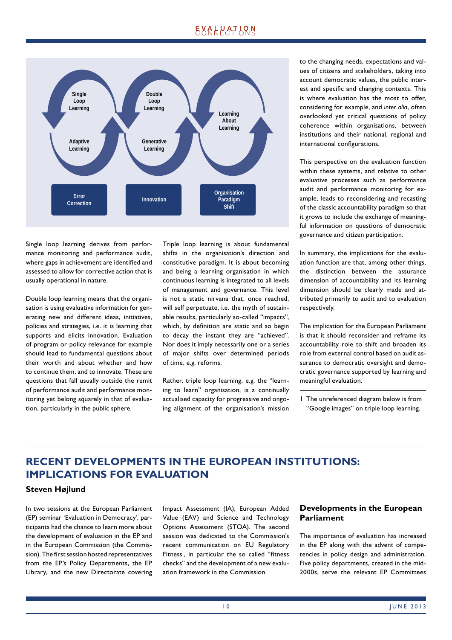# EXALPATLRN



Single loop learning derives from performance monitoring and performance audit, where gaps in achievement are identified and assessed to allow for corrective action that is usually operational in nature.

Double loop learning means that the organisation is using evaluative information for generating new and different ideas, initiatives, policies and strategies, i.e. it is learning that supports and elicits innovation. Evaluation of program or policy relevance for example should lead to fundamental questions about their worth and about whether and how to continue them, and to innovate. These are questions that fall usually outside the remit of performance audit and performance monitoring yet belong squarely in that of evaluation, particularly in the public sphere.

Triple loop learning is about fundamental shifts in the organisation's direction and constitutive paradigm. It is about becoming and being a learning organisation in which continuous learning is integrated to all levels of management and governance. This level is not a static nirvana that, once reached, will self perpetuate, i.e. the myth of sustainable results, particularly so-called "impacts", which, by definition are static and so begin to decay the instant they are "achieved". Nor does it imply necessarily one or a series of major shifts over determined periods of time, e.g. reforms.

Rather, triple loop learning, e.g. the "learning to learn" organisation, is a continually actualised capacity for progressive and ongoing alignment of the organisation's mission to the changing needs, expectations and values of citizens and stakeholders, taking into account democratic values, the public interest and specific and changing contexts. This is where evaluation has the most to offer, considering for example, and *inter alia*, often overlooked yet critical questions of policy coherence within organisations, between institutions and their national, regional and international configurations.

This perspective on the evaluation function within these systems, and relative to other evaluative processes such as performance audit and performance monitoring for example, leads to reconsidering and recasting of the classic accountability paradigm so that it grows to include the exchange of meaningful information on questions of democratic governance and citizen participation.

In summary, the implications for the evaluation function are that, among other things, the distinction between the assurance dimension of accountability and its learning dimension should be clearly made and attributed primarily to audit and to evaluation respectively.

The implication for the European Parliament is that it should reconsider and reframe its accountability role to shift and broaden its role from external control based on audit assurance to democratic oversight and democratic governance supported by learning and meaningful evaluation.

1 The unreferenced diagram below is from "Google images" on triple loop learning.

# **RECENT DEVELOPMENTS IN THE EUROPEAN INSTITUTIONS: IMPLICATIONS FOR EVALUATION**

## **Steven Højlund**

In two sessions at the European Parliament (EP) seminar 'Evaluation in Democracy', participants had the chance to learn more about the development of evaluation in the EP and in the European Commission (the Commission). The first session hosted representatives from the EP's Policy Departments, the EP Library, and the new Directorate covering Impact Assessment (IA), European Added Value (EAV) and Science and Technology Options Assessment (STOA). The second session was dedicated to the Commission's recent communication on EU Regulatory Fitness<sup>1</sup>, in particular the so called "fitness checks" and the development of a new evaluation framework in the Commission.

## **Developments in the European Parliament**

The importance of evaluation has increased in the EP along with the advent of competencies in policy design and administration. Five policy departments, created in the mid-2000s, serve the relevant EP Committees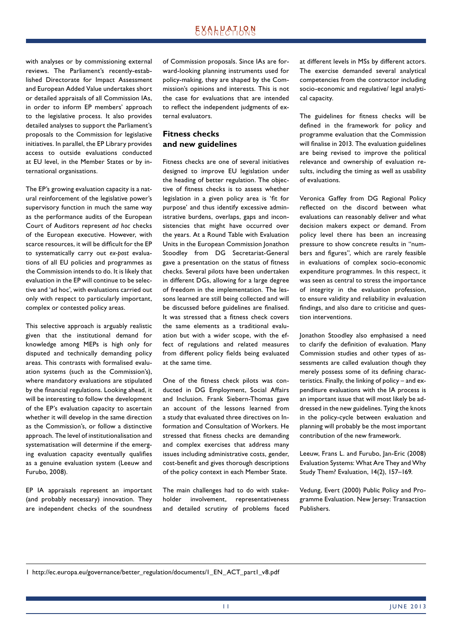# **EXALPATLQN**

with analyses or by commissioning external reviews. The Parliament's recently-established Directorate for Impact Assessment and European Added Value undertakes short or detailed appraisals of all Commission IAs, in order to inform EP members' approach to the legislative process. It also provides detailed analyses to support the Parliament's proposals to the Commission for legislative initiatives. In parallel, the EP Library provides access to outside evaluations conducted at EU level, in the Member States or by international organisations.

The EP's growing evaluation capacity is a natural reinforcement of the legislative power's supervisory function in much the same way as the performance audits of the European Court of Auditors represent *ad hoc* checks of the European executive. However, with scarce resources, it will be difficult for the EP to systematically carry out *ex-post* evaluations of all EU policies and programmes as the Commission intends to do. It is likely that evaluation in the EP will continue to be selective and 'ad hoc', with evaluations carried out only with respect to particularly important, complex or contested policy areas.

This selective approach is arguably realistic given that the institutional demand for knowledge among MEPs is high only for disputed and technically demanding policy areas. This contrasts with formalised evaluation systems (such as the Commission's), where mandatory evaluations are stipulated by the financial regulations. Looking ahead, it will be interesting to follow the development of the EP's evaluation capacity to ascertain whether it will develop in the same direction as the Commission's, or follow a distinctive approach. The level of institutionalisation and systematisation will determine if the emerging evaluation capacity eventually qualifies as a genuine evaluation system (Leeuw and Furubo, 2008).

EP IA appraisals represent an important (and probably necessary) innovation. They are independent checks of the soundness of Commission proposals. Since IAs are forward-looking planning instruments used for policy-making, they are shaped by the Commission's opinions and interests. This is not the case for evaluations that are intended to reflect the independent judgments of external evaluators.

## **Fitness checks and new guidelines**

Fitness checks are one of several initiatives designed to improve EU legislation under the heading of better regulation. The objective of fitness checks is to assess whether legislation in a given policy area is 'fit for purpose' and thus identify excessive administrative burdens, overlaps, gaps and inconsistencies that might have occurred over the years. At a Round Table with Evaluation Units in the European Commission Jonathon Stoodley from DG Secretariat-General gave a presentation on the status of fitness checks. Several pilots have been undertaken in different DGs, allowing for a large degree of freedom in the implementation. The lessons learned are still being collected and will be discussed before guidelines are finalised. It was stressed that a fitness check covers the same elements as a traditional evaluation but with a wider scope, with the effect of regulations and related measures from different policy fields being evaluated at the same time.

One of the fitness check pilots was conducted in DG Employment, Social Affairs and Inclusion. Frank Siebern-Thomas gave an account of the lessons learned from a study that evaluated three directives on Information and Consultation of Workers. He stressed that fitness checks are demanding and complex exercises that address many issues including administrative costs, gender, cost-benefit and gives thorough descriptions of the policy context in each Member State.

The main challenges had to do with stakeholder involvement, representativeness and detailed scrutiny of problems faced at different levels in MSs by different actors. The exercise demanded several analytical competencies from the contractor including socio-economic and regulative/ legal analytical capacity.

The guidelines for fitness checks will be defined in the framework for policy and programme evaluation that the Commission will finalise in 2013. The evaluation guidelines are being revised to improve the political relevance and ownership of evaluation results, including the timing as well as usability of evaluations.

Veronica Gaffey from DG Regional Policy reflected on the discord between what evaluations can reasonably deliver and what decision makers expect or demand. From policy level there has been an increasing pressure to show concrete results in "numbers and figures", which are rarely feasible in evaluations of complex socio-economic expenditure programmes. In this respect, it was seen as central to stress the importance of integrity in the evaluation profession, to ensure validity and reliability in evaluation findings, and also dare to criticise and question interventions.

Jonathon Stoodley also emphasised a need to clarify the definition of evaluation. Many Commission studies and other types of assessments are called evaluation though they merely possess some of its defining characteristics. Finally, the linking of policy – and expenditure evaluations with the IA process is an important issue that will most likely be addressed in the new guidelines. Tying the knots in the policy-cycle between evaluation and planning will probably be the most important contribution of the new framework.

Leeuw, Frans L. and Furubo, Jan-Eric (2008) Evaluation Systems: What Are They and Why Study Them? Evaluation, 14(2), 157–169.

Vedung, Evert (2000) Public Policy and Programme Evaluation. New Jersey: Transaction Publishers.

1 http://ec.europa.eu/governance/better \_regulation/documents/1\_EN\_ACT\_part1\_v8.pdf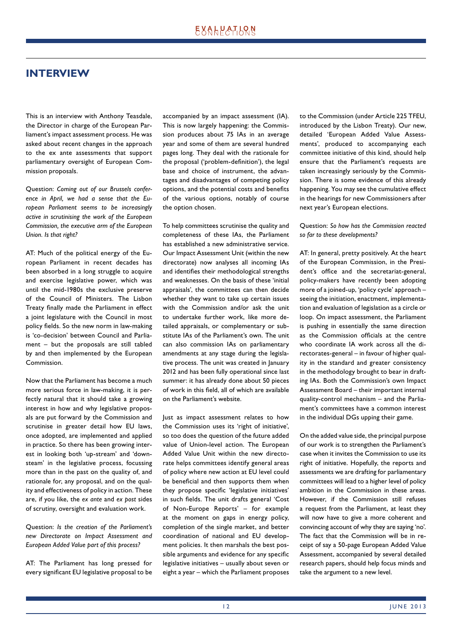# **INTERVIEW**

This is an interview with Anthony Teasdale, the Director in charge of the European Parliament's impact assessment process. He was asked about recent changes in the approach to the ex ante assessments that support parliamentary oversight of European Commission proposals.

Question: *Coming out of our Brussels conference in April, we had a sense that the European Parliament seems to be increasingly active in scrutinising the work of the European Commission, the executive arm of the European Union. Is that right?*

AT: Much of the political energy of the European Parliament in recent decades has been absorbed in a long struggle to acquire and exercise legislative power, which was until the mid-1980s the exclusive preserve of the Council of Ministers. The Lisbon Treaty finally made the Parliament in effect a joint legislature with the Council in most policy fields. So the new norm in law-making is 'co-decision' between Council and Parliament – but the proposals are still tabled by and then implemented by the European Commission.

Now that the Parliament has become a much more serious force in law-making, it is perfectly natural that it should take a growing interest in how and why legislative proposals are put forward by the Commission and scrutinise in greater detail how EU laws, once adopted, are implemented and applied in practice. So there has been growing interest in looking both 'up-stream' and 'downsteam' in the legislative process, focussing more than in the past on the quality of, and rationale for, any proposal, and on the quality and effectiveness of policy in action. These are, if you like, the *ex ante* and *ex post* sides of scrutiny, oversight and evaluation work.

Question: *Is the creation of the Parliament's new Directorate on Impact Assessment and European Added Value part of this process?*

AT: The Parliament has long pressed for every significant EU legislative proposal to be accompanied by an impact assessment (IA). This is now largely happening: the Commission produces about 75 IAs in an average year and some of them are several hundred pages long. They deal with the rationale for the proposal ('problem-definition'), the legal base and choice of instrument, the advantages and disadvantages of competing policy options, and the potential costs and benefits of the various options, notably of course the option chosen.

To help committees scrutinise the quality and completeness of these IAs, the Parliament has established a new administrative service. Our Impact Assessment Unit (within the new directorate) now analyses all incoming IAs and identifies their methodological strengths and weaknesses. On the basis of these 'initial appraisals', the committees can then decide whether they want to take up certain issues with the Commission and/or ask the unit to undertake further work, like more detailed appraisals, or complementary or substitute IAs of the Parliament's own. The unit can also commission IAs on parliamentary amendments at any stage during the legislative process. The unit was created in January 2012 and has been fully operational since last summer: it has already done about 50 pieces of work in this field, all of which are available on the Parliament's website.

Just as impact assessment relates to how the Commission uses its 'right of initiative', so too does the question of the future added value of Union-level action. The European Added Value Unit within the new directorate helps committees identify general areas of policy where new action at EU level could be beneficial and then supports them when they propose specific 'legislative initiatives' in such fields. The unit drafts general 'Cost of Non-Europe Reports' – for example at the moment on gaps in energy policy, completion of the single market, and better coordination of national and EU development policies. It then marshals the best possible arguments and evidence for any specific legislative initiatives – usually about seven or eight a year – which the Parliament proposes to the Commission (under Article 225 TFEU, introduced by the Lisbon Treaty). Our new, detailed 'European Added Value Assessments', produced to accompanying each committee initiative of this kind, should help ensure that the Parliament's requests are taken increasingly seriously by the Commission. There is some evidence of this already happening. You may see the cumulative effect in the hearings for new Commissioners after next year's European elections.

### Question: *So how has the Commission reacted so far to these developments?*

AT: In general, pretty positively. At the heart of the European Commission, in the President's office and the secretariat-general, policy-makers have recently been adopting more of a joined-up, 'policy cycle' approach – seeing the initiation, enactment, implementation and evaluation of legislation as a circle or loop. On impact assessment, the Parliament is pushing in essentially the same direction as the Commission officials at the centre who coordinate IA work across all the directorates-general – in favour of higher quality in the standard and greater consistency in the methodology brought to bear in drafting IAs. Both the Commission's own Impact Assessment Board – their important internal quality-control mechanism – and the Parliament's committees have a common interest in the individual DGs upping their game.

On the added value side, the principal purpose of our work is to strengthen the Parliament's case when it invites the Commission to use its right of initiative. Hopefully, the reports and assessments we are drafting for parliamentary committees will lead to a higher level of policy ambition in the Commission in these areas. However, if the Commission still refuses a request from the Parliament, at least they will now have to give a more coherent and convincing account of why they are saying 'no'. The fact that the Commission will be in receipt of say a 50-page European Added Value Assessment, accompanied by several detailed research papers, should help focus minds and take the argument to a new level.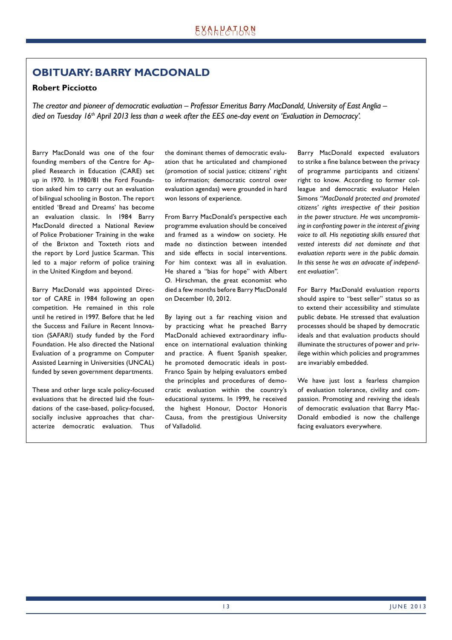# **OBITUARY: BARRY MACDONALD**

## **Robert Picciotto**

*The creator and pioneer of democratic evaluation – Professor Emeritus Barry MacDonald, University of East Anglia – died on Tuesday 16th April 2013 less than a week after the EES one-day event on 'Evaluation in Democracy'.* 

Barry MacDonald was one of the four founding members of the Centre for Applied Research in Education (CARE) set up in 1970. In 1980/81 the Ford Foundation asked him to carry out an evaluation of bilingual schooling in Boston. The report entitled 'Bread and Dreams' has become an evaluation classic. In 1984 Barry MacDonald directed a National Review of Police Probationer Training in the wake of the Brixton and Toxteth riots and the report by Lord Justice Scarman. This led to a major reform of police training in the United Kingdom and beyond.

Barry MacDonald was appointed Director of CARE in 1984 following an open competition. He remained in this role until he retired in 1997. Before that he led the Success and Failure in Recent Innovation (SAFARI) study funded by the Ford Foundation. He also directed the National Evaluation of a programme on Computer Assisted Learning in Universities ( UNCAL) funded by seven government departments.

These and other large scale policy-focused evaluations that he directed laid the foundations of the case-based, policy-focused, socially inclusive approaches that characterize democratic evaluation. Thus

the dominant themes of democratic evaluation that he articulated and championed (promotion of social justice; citizens' right to information; democratic control over evaluation agendas) were grounded in hard won lessons of experience.

From Barry MacDonald's perspective each programme evaluation should be conceived and framed as a window on society. He made no distinction between intended and side effects in social interventions. For him context was all in evaluation. He shared a "bias for hope" with Albert O. Hirschman, the great economist who died a few months before Barry MacDonald on December 10, 2012.

By laying out a far reaching vision and by practicing what he preached Barry MacDonald achieved extraordinary influence on international evaluation thinking and practice. A fluent Spanish speaker, he promoted democratic ideals in post-Franco Spain by helping evaluators embed the principles and procedures of democratic evaluation within the country's educational systems. In 1999, he received the highest Honour, Doctor Honoris Causa, from the prestigious University of Valladolid.

Barry MacDonald expected evaluators to strike a fine balance between the privacy of programme participants and citizens' right to know. According to former colleague and democratic evaluator Helen Simons *"MacDonald protected and promoted citizens' rights irrespective of their position in the power structure. He was uncompromising in confronting power in the interest of giving voice to all. His negotiating skills ensured that vested interests did not dominate and that evaluation reports were in the public domain. In this sense he was an advocate of independent evaluation"*.

For Barry MacDonald evaluation reports should aspire to "best seller" status so as to extend their accessibility and stimulate public debate. He stressed that evaluation processes should be shaped by democratic ideals and that evaluation products should illuminate the structures of power and privilege within which policies and programmes are invariably embedded.

We have just lost a fearless champion of evaluation tolerance, civility and compassion. Promoting and reviving the ideals of democratic evaluation that Barry Mac-Donald embodied is now the challenge facing evaluators everywhere.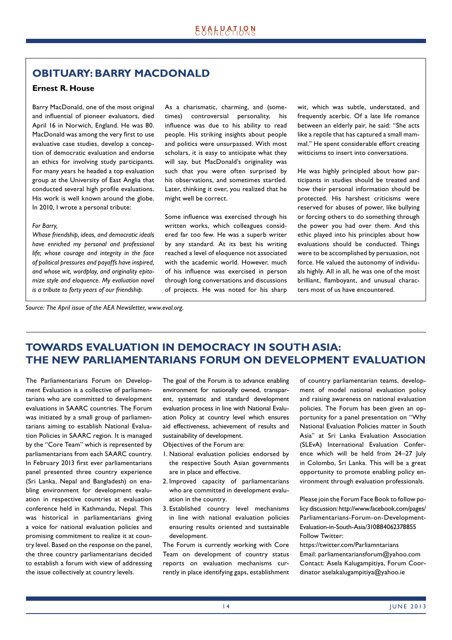# **OBITUARY: BARRY MACDONALD**

## **Ernest R. House**

Barry MacDonald, one of the most original and influential of pioneer evaluators, died April 16 in Norwich, England. He was 80. MacDonald was among the very first to use evaluative case studies, develop a conception of democratic evaluation and endorse an ethics for involving study participants. For many years he headed a top evaluation group at the University of East Anglia that conducted several high profile evaluations. His work is well known around the globe. In 2010, I wrote a personal tribute:

#### *For Barry,*

*Whose friendship, ideas, and democratic ideals have enriched my personal and professional life; whose courage and integrity in the face of political pressures and payoffs have inspired, and whose wit, wordplay, and originality epitomize style and eloquence. My evaluation novel is a tribute to forty years of our friendship.*

As a charismatic, charming, and (sometimes) controversial personality, his influence was due to his ability to read people. His striking insights about people and politics were unsurpassed. With most scholars, it is easy to anticipate what they will say, but MacDonald's originality was such that you were often surprised by his observations, and sometimes startled. Later, thinking it over, you realized that he might well be correct.

Some influence was exercised through his written works, which colleagues considered far too few. He was a superb writer by any standard. At its best his writing reached a level of eloquence not associated with the academic world. However, much of his influence was exercised in person through long conversations and discussions of projects. He was noted for his sharp wit, which was subtle, understated, and frequently acerbic. Of a late life romance between an elderly pair, he said: "She acts like a reptile that has captured a small mammal." He spent considerable effort creating witticisms to insert into conversations.

He was highly principled about how participants in studies should be treated and how their personal information should be protected. His harshest criticisms were reserved for abuses of power, like bullying or forcing others to do something through the power you had over them. And this ethic played into his principles about how evaluations should be conducted. Things were to be accomplished by persuasion, not force. He valued the autonomy of individuals highly. All in all, he was one of the most brilliant, flamboyant, and unusual characters most of us have encountered.

*Source: The April issue of the AEA Newsletter, www.eval.org.*

# **TOWARDS EVALUATION IN DEMOCRACY IN SOUTH ASIA: THE NEW PARLIAMENTARIANS FORUM ON DEVELOPMENT EVALUATION**

The Parliamentarians Forum on Development Evaluation is a collective of parliamentarians who are committed to development evaluations in SAARC countries. The Forum was initiated by a small group of parliamentarians aiming to establish National Evaluation Policies in SAARC region. It is managed by the "Core Team" which is represented by parliamentarians from each SAARC country. In February 2013 first ever parliamentarians panel presented three country experience (Sri Lanka, Nepal and Bangladesh) on enabling environment for development evaluation in respective countries at evaluation conference held in Kathmandu, Nepal. This was historical in parliamentarians giving a voice for national evaluation policies and promising commitment to realize it at country level. Based on the response on the panel, the three country parliamentarians decided to establish a forum with view of addressing the issue collectively at country levels.

The goal of the Forum is to advance enabling environment for nationally owned, transparent, systematic and standard development evaluation process in line with National Evaluation Policy at country level which ensures aid effectiveness, achievement of results and sustainability of development.

Objectives of the Forum are:

- 1. National evaluation policies endorsed by the respective South Asian governments are in place and effective.
- 2. Improved capacity of parliamentarians who are committed in development evaluation in the country.
- 3. Established country level mechanisms in line with national evaluation policies ensuring results oriented and sustainable development.

The Forum is currently working with Core Team on development of country status reports on evaluation mechanisms currently in place identifying gaps, establishment of country parliamentarian teams, development of model national evaluation policy and raising awareness on national evaluation policies. The Forum has been given an opportunity for a panel presentation on "Why National Evaluation Policies matter in South Asia" at Sri Lanka Evaluation Association (SLEvA) International Evaluation Conference which will be held from 24-27 July in Colombo, Sri Lanka. This will be a great opportunity to promote enabling policy environment through evaluation professionals.

Please join the Forum Face Book to follow policy discussion: http://www.facebook.com/pages/ Parliamentarians-Forum-on-Development-Evaluation-in-South-Asia/310884062378855 Follow Twitter:

https://twitter.com/Parliamntarians Email: parliamentariansforum@yahoo.com Contact: Asela Kalugampitiya, Forum Coordinator aselakalugampitiya@yahoo.ie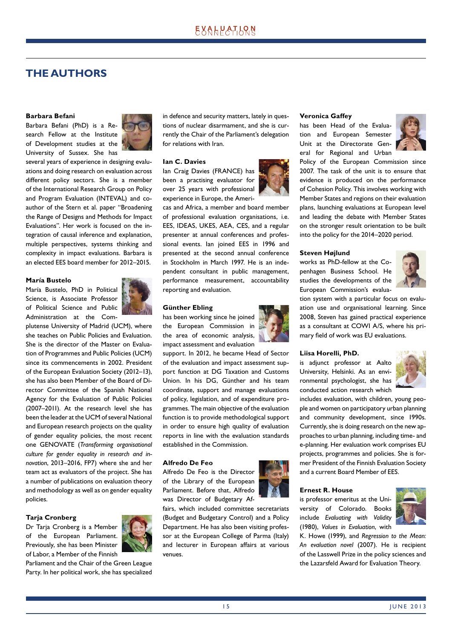# **THE AUTHORS**

#### **Barbara Befani**

Barbara Befani (PhD) is a Research Fellow at the Institute of Development studies at the University of Sussex. She has



several years of experience in designing evaluations and doing research on evaluation across different policy sectors. She is a member of the International Research Group on Policy and Program Evaluation (INTEVAL) and coauthor of the Stern et al. paper "Broadening the Range of Designs and Methods for Impact Evaluations". Her work is focused on the integration of causal inference and explanation, multiple perspectives, systems thinking and complexity in impact evaluations. Barbara is an elected EES board member for 2012–2015.

#### **María Bustelo**

María Bustelo, PhD in Political Science, is Associate Professor of Political Science and Public Administration at the Com-



plutense University of Madrid (UCM), where she teaches on Public Policies and Evaluation. She is the director of the Master on Evaluation of Programmes and Public Policies (UCM) since its commencements in 2002. President of the European Evaluation Society (2012–13), she has also been Member of the Board of Director Committee of the Spanish National Agency for the Evaluation of Public Policies (2007–2011). At the research level she has been the leader at the UCM of several National and European research projects on the quality of gender equality policies, the most recent one GENOVATE (*Transforming organisational culture for gender equality in research and innovation*, 2013–2016, FP7) where she and her team act as evaluators of the project. She has a number of publications on evaluation theory and methodology as well as on gender equality policies.

## **Tarja Cronberg**

Dr Tarja Cronberg is a Member of the European Parliament. Previously, she has been Minister of Labor, a Member of the Finnish



Parliament and the Chair of the Green League Party. In her political work, she has specialized in defence and security matters, lately in questions of nuclear disarmament, and she is currently the Chair of the Parliament's delegation for relations with Iran.

#### **Ian C. Davies**

Ian Craig Davies (FRANCE) has been a practising evaluator for over 25 years with professional experience in Europe, the Ameri-



cas and Africa, a member and board member of professional evaluation organisations, i.e. EES, IDEAS, UKES, AEA, CES, and a regular presenter at annual conferences and professional events. Ian joined EES in 1996 and presented at the second annual conference in Stockholm in March 1997. He is an independent consultant in public management, performance measurement, accountability reporting and evaluation.

#### **Günther Ebling**

has been working since he joined the European Commission in the area of economic analysis, impact assessment and evaluation

support. In 2012, he became Head of Sector of the evaluation and impact assessment support function at DG Taxation and Customs Union. In his DG, Günther and his team coordinate, support and manage evaluations of policy, legislation, and of expenditure programmes. The main objective of the evaluation function is to provide methodological support in order to ensure high quality of evaluation reports in line with the evaluation standards established in the Commission.

#### **Alfredo De Feo**

Alfredo De Feo is the Director of the Library of the European Parliament. Before that, Alfredo was Director of Budgetary Af-

fairs, which included committee secretariats (Budget and Budgetary Control) and a Policy Department. He has also been visiting professor at the European College of Parma (Italy) and lecturer in European affairs at various venues.





has been Head of the Evaluation and European Semester Unit at the Directorate General for Regional and Urban



Policy of the European Commission since 2007. The task of the unit is to ensure that evidence is produced on the performance of Cohesion Policy. This involves working with Member States and regions on their evaluation plans, launching evaluations at European level and leading the debate with Member States on the stronger result orientation to be built into the policy for the 2014–2020 period.

#### **Steven Højlund**

works as PhD-fellow at the Copenhagen Business School. He studies the developments of the European Commission's evalua-



tion system with a particular focus on evaluation use and organisational learning. Since 2008, Steven has gained practical experience as a consultant at COWI A/S, where his primary field of work was EU evaluations.

#### **Liisa Horelli, PhD.**

is adjunct professor at Aalto University, Helsinki. As an environmental psychologist, she has conducted action research which



includes evaluation, with children, young people and women on participatory urban planning and community development, since 1990s. Currently, she is doing research on the new approaches to urban planning, including time- and e-planning. Her evaluation work comprises EU projects, programmes and policies. She is former President of the Finnish Evaluation Society and a current Board Member of EES.

#### **Ernest R. House**

is professor emeritus at the University of Colorado. Books include *Evaluating with Validity* (1980), *Values in Evaluation*, with



K. Howe (1999), and *Regression to the Mean: An evaluation novel* (2007). He is recipient of the Lasswell Prize in the policy sciences and the Lazarsfeld Award for Evaluation Theory.